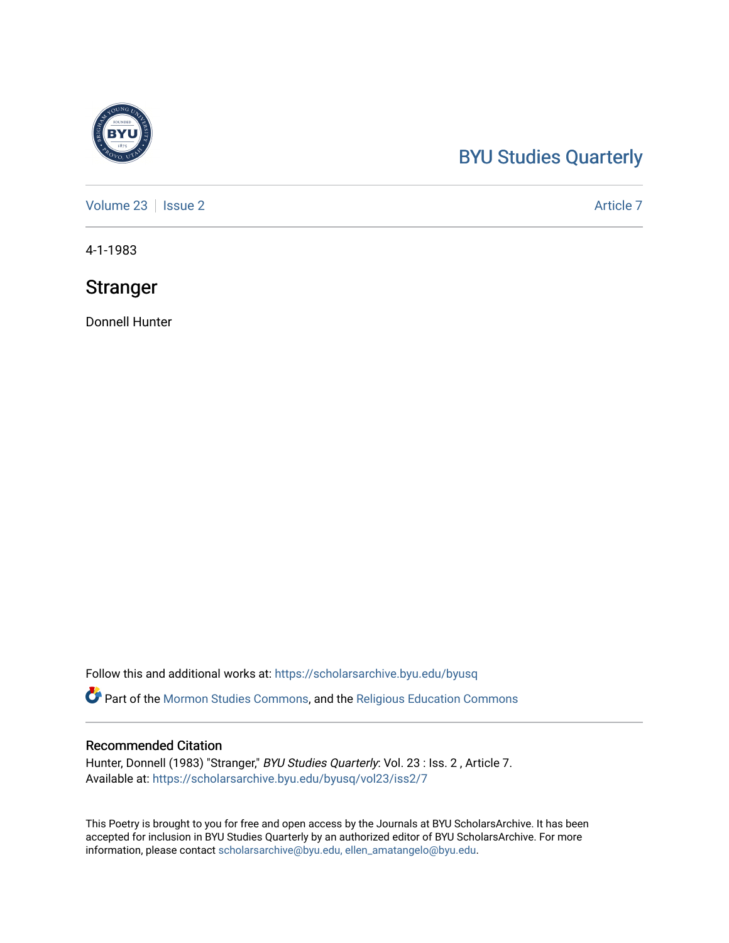## [BYU Studies Quarterly](https://scholarsarchive.byu.edu/byusq)

[Volume 23](https://scholarsarchive.byu.edu/byusq/vol23) | [Issue 2](https://scholarsarchive.byu.edu/byusq/vol23/iss2) Article 7

4-1-1983

### **Stranger**

Donnell Hunter

Follow this and additional works at: [https://scholarsarchive.byu.edu/byusq](https://scholarsarchive.byu.edu/byusq?utm_source=scholarsarchive.byu.edu%2Fbyusq%2Fvol23%2Fiss2%2F7&utm_medium=PDF&utm_campaign=PDFCoverPages) 

Part of the [Mormon Studies Commons](http://network.bepress.com/hgg/discipline/1360?utm_source=scholarsarchive.byu.edu%2Fbyusq%2Fvol23%2Fiss2%2F7&utm_medium=PDF&utm_campaign=PDFCoverPages), and the [Religious Education Commons](http://network.bepress.com/hgg/discipline/1414?utm_source=scholarsarchive.byu.edu%2Fbyusq%2Fvol23%2Fiss2%2F7&utm_medium=PDF&utm_campaign=PDFCoverPages) 

#### Recommended Citation

Hunter, Donnell (1983) "Stranger," BYU Studies Quarterly: Vol. 23 : Iss. 2, Article 7. Available at: [https://scholarsarchive.byu.edu/byusq/vol23/iss2/7](https://scholarsarchive.byu.edu/byusq/vol23/iss2/7?utm_source=scholarsarchive.byu.edu%2Fbyusq%2Fvol23%2Fiss2%2F7&utm_medium=PDF&utm_campaign=PDFCoverPages)

This Poetry is brought to you for free and open access by the Journals at BYU ScholarsArchive. It has been accepted for inclusion in BYU Studies Quarterly by an authorized editor of BYU ScholarsArchive. For more information, please contact [scholarsarchive@byu.edu, ellen\\_amatangelo@byu.edu.](mailto:scholarsarchive@byu.edu,%20ellen_amatangelo@byu.edu)